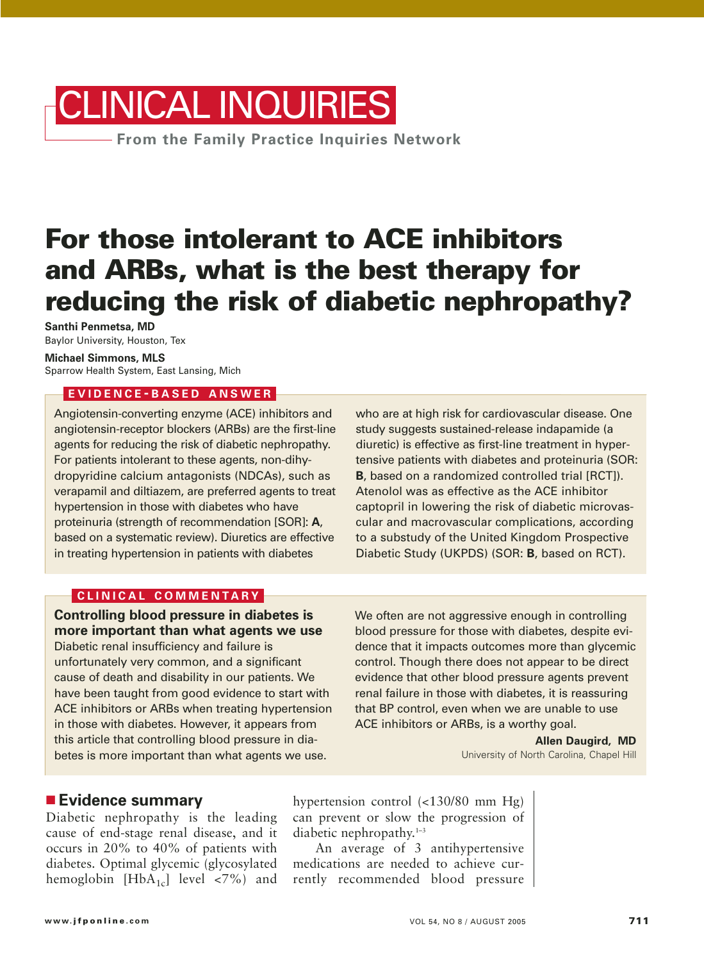# **From the Family Practice Inquiries Network** CLINICAL INQUIRIES

# **For those intolerant to ACE inhibitors and ARBs, what is the best therapy for reducing the risk of diabetic nephropathy?**

**Santhi Penmetsa, MD** Baylor University, Houston, Tex

**Michael Simmons, MLS** Sparrow Health System, East Lansing, Mich

#### **EVIDENCE - BASED ANSWER**

Angiotensin-converting enzyme (ACE) inhibitors and angiotensin-receptor blockers (ARBs) are the first-line agents for reducing the risk of diabetic nephropathy. For patients intolerant to these agents, non-dihydropyridine calcium antagonists (NDCAs), such as verapamil and diltiazem, are preferred agents to treat hypertension in those with diabetes who have proteinuria (strength of recommendation [SOR]: **A**, based on a systematic review). Diuretics are effective in treating hypertension in patients with diabetes

who are at high risk for cardiovascular disease. One study suggests sustained-release indapamide (a diuretic) is effective as first-line treatment in hypertensive patients with diabetes and proteinuria (SOR: **B**, based on a randomized controlled trial [RCT]). Atenolol was as effective as the ACE inhibitor captopril in lowering the risk of diabetic microvascular and macrovascular complications, according to a substudy of the United Kingdom Prospective Diabetic Study (UKPDS) (SOR: **B**, based on RCT).

#### **CLINICAL COMMENTARY**

**Controlling blood pressure in diabetes is more important than what agents we use** Diabetic renal insufficiency and failure is unfortunately very common, and a significant cause of death and disability in our patients. We have been taught from good evidence to start with ACE inhibitors or ARBs when treating hypertension in those with diabetes. However, it appears from this article that controlling blood pressure in diabetes is more important than what agents we use.

We often are not aggressive enough in controlling blood pressure for those with diabetes, despite evidence that it impacts outcomes more than glycemic control. Though there does not appear to be direct evidence that other blood pressure agents prevent renal failure in those with diabetes, it is reassuring that BP control, even when we are unable to use ACE inhibitors or ARBs, is a worthy goal.

> **Allen Daugird, MD** University of North Carolina, Chapel Hill

#### ■ **Evidence summary**

Diabetic nephropathy is the leading cause of end-stage renal disease, and it occurs in 20% to 40% of patients with diabetes. Optimal glycemic (glycosylated hemoglobin  $[HbA_{1c}]$  level <7%) and

hypertension control (<130/80 mm Hg) can prevent or slow the progression of diabetic nephropathy. $1-3$ 

An average of 3 antihypertensive medications are needed to achieve currently recommended blood pressure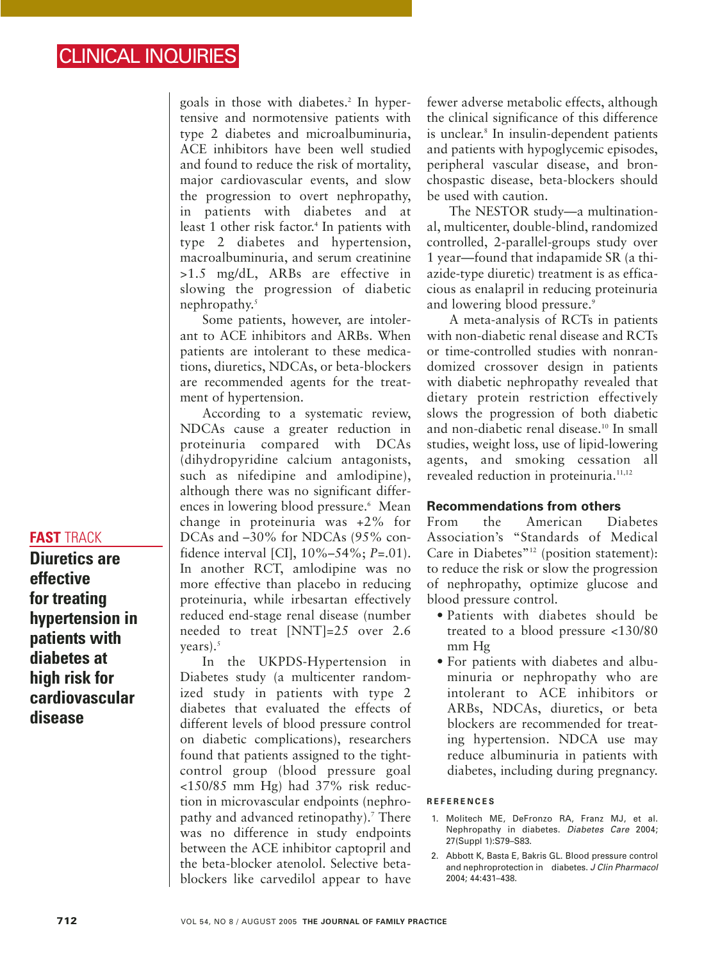goals in those with diabetes.<sup>2</sup> In hypertensive and normotensive patients with type 2 diabetes and microalbuminuria, ACE inhibitors have been well studied and found to reduce the risk of mortality, major cardiovascular events, and slow the progression to overt nephropathy, in patients with diabetes and at least 1 other risk factor.<sup>4</sup> In patients with type 2 diabetes and hypertension, macroalbuminuria, and serum creatinine >1.5 mg/dL, ARBs are effective in slowing the progression of diabetic nephropathy.<sup>5</sup>

Some patients, however, are intolerant to ACE inhibitors and ARBs. When patients are intolerant to these medications, diuretics, NDCAs, or beta-blockers are recommended agents for the treatment of hypertension.

According to a systematic review, NDCAs cause a greater reduction in proteinuria compared with DCAs (dihydropyridine calcium antagonists, such as nifedipine and amlodipine), although there was no significant differences in lowering blood pressure.<sup>6</sup> Mean change in proteinuria was +2% for DCAs and –30% for NDCAs (95% confidence interval [CI], 10%–54%; *P*=.01). In another RCT, amlodipine was no more effective than placebo in reducing proteinuria, while irbesartan effectively reduced end-stage renal disease (number needed to treat [NNT]=25 over 2.6 years). $5$ 

In the UKPDS-Hypertension in Diabetes study (a multicenter randomized study in patients with type 2 diabetes that evaluated the effects of different levels of blood pressure control on diabetic complications), researchers found that patients assigned to the tightcontrol group (blood pressure goal <150/85 mm Hg) had 37% risk reduction in microvascular endpoints (nephropathy and advanced retinopathy).<sup>7</sup> There was no difference in study endpoints between the ACE inhibitor captopril and the beta-blocker atenolol. Selective betablockers like carvedilol appear to have

fewer adverse metabolic effects, although the clinical significance of this difference is unclear.<sup>8</sup> In insulin-dependent patients and patients with hypoglycemic episodes, peripheral vascular disease, and bronchospastic disease, beta-blockers should be used with caution.

The NESTOR study—a multinational, multicenter, double-blind, randomized controlled, 2-parallel-groups study over 1 year—found that indapamide SR (a thiazide-type diuretic) treatment is as efficacious as enalapril in reducing proteinuria and lowering blood pressure.<sup>9</sup>

A meta-analysis of RCTs in patients with non-diabetic renal disease and RCTs or time-controlled studies with nonrandomized crossover design in patients with diabetic nephropathy revealed that dietary protein restriction effectively slows the progression of both diabetic and non-diabetic renal disease.10 In small studies, weight loss, use of lipid-lowering agents, and smoking cessation all revealed reduction in proteinuria.<sup>11,12</sup>

#### **Recommendations from others**

From the American Diabetes Association's "Standards of Medical Care in Diabetes<sup>"12</sup> (position statement): to reduce the risk or slow the progression of nephropathy, optimize glucose and blood pressure control.

- Patients with diabetes should be treated to a blood pressure <130/80 mm Hg
- For patients with diabetes and albuminuria or nephropathy who are intolerant to ACE inhibitors or ARBs, NDCAs, diuretics, or beta blockers are recommended for treating hypertension. NDCA use may reduce albuminuria in patients with diabetes, including during pregnancy.

#### **REFERENCES**

- 1. Molitech ME, DeFronzo RA, Franz MJ, et al. Nephropathy in diabetes. Diabetes Care 2004; 27(Suppl 1):S79–S83.
- 2. Abbott K, Basta E, Bakris GL. Blood pressure control and nephroprotection in diabetes. J Clin Pharmacol 2004; 44:431–438.

# **FAST** TRACK

**Diuretics are effective for treating hypertension in patients with diabetes at high risk for cardiovascular disease**